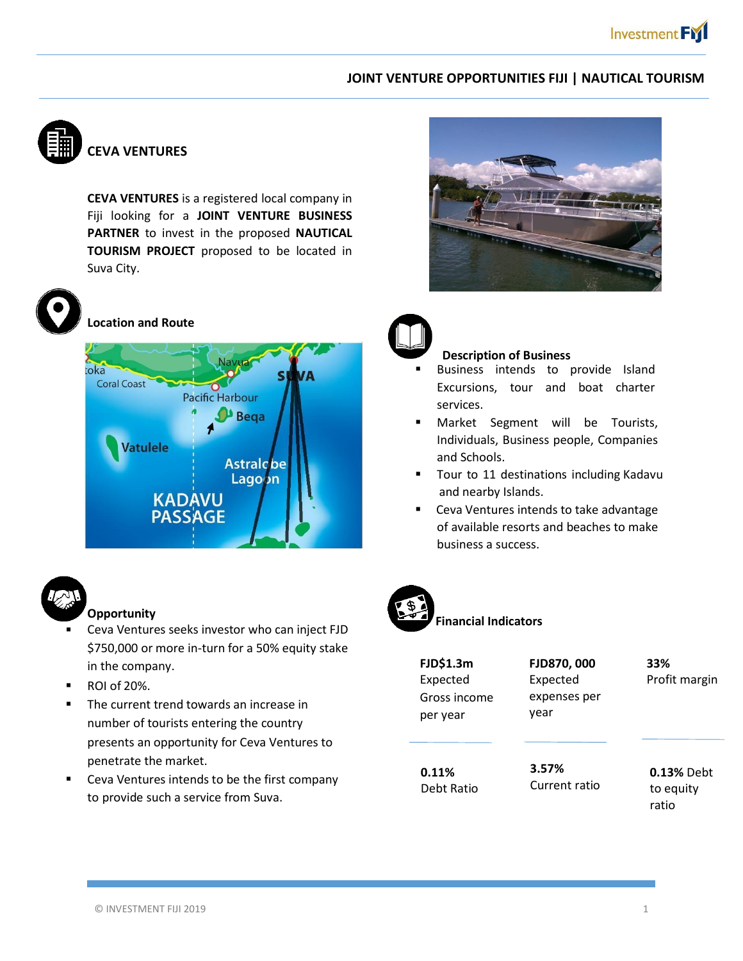### **JOINT VENTURE OPPORTUNITIES FIJI | NAUTICAL TOURISM**



# **CEVA VENTURES**

**CEVA VENTURES** is a registered local company in Fiji looking for a **JOINT VENTURE BUSINESS PARTNER** to invest in the proposed **NAUTICAL TOURISM PROJECT** proposed to be located in Suva City.



**Location and Route**





## **Opportunity**

- Ceva Ventures seeks investor who can inject FJD \$750,000 or more in-turn for a 50% equity stake in the company. .
- ROI of 20%.
- The current trend towards an increase in number of tourists entering the country presents an opportunity for Ceva Ventures to penetrate the market.
- Ceva Ventures intends to be the first company to provide such a service from Suva.





#### **Description of Business**

- Business intends to provide Island Excursions, tour and boat charter services.
- Market Segment will be Tourists, Individuals, Business people, Companies and Schools.
- Tour to 11 destinations including Kadavu and nearby Islands.
- Ceva Ventures intends to take advantage of available resorts and beaches to make business a success.



# **Financial Indicators**

| <b>FJD\$1.3m</b><br>Expected<br>Gross income<br>per year | FJD870, 000<br>Expected<br>expenses per<br>year | 33%<br>Profit margin                    |
|----------------------------------------------------------|-------------------------------------------------|-----------------------------------------|
| 0.11%<br>Debt Ratio                                      | 3.57%<br>Current ratio                          | <b>0.13% Debt</b><br>to equity<br>ratio |